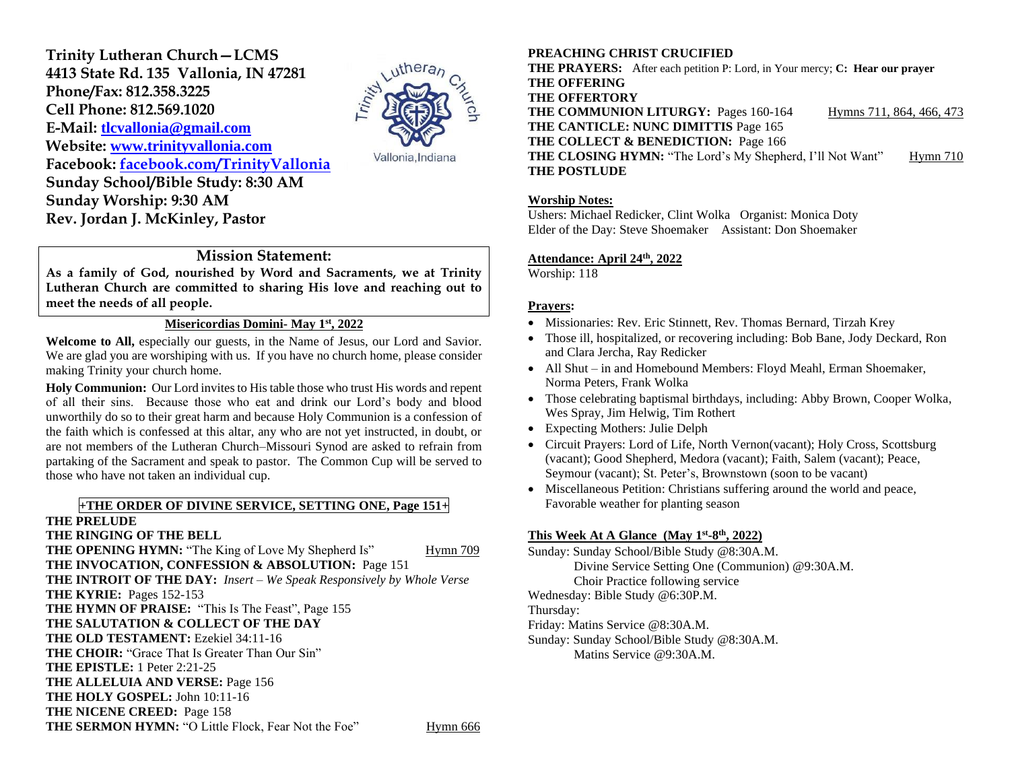**Trinity Lutheran Church—LCMS 4413 State Rd. 135 Vallonia, IN 47281 Phone/Fax: 812.358.3225 Cell Phone: 812.569.1020 E-Mail: [tlcvallonia@gmail.com](mailto:tlcvallonia@gmail.com) Website: [www.trinityvallonia.com](http://www.trinityvallonia.com/) Facebook: [facebook.com/TrinityVallonia](http://facebook.com/TrinityVallonia)  Sunday School/Bible Study: 8:30 AM Sunday Worship: 9:30 AM Rev. Jordan J. McKinley, Pastor**



## **Mission Statement:**

**As a family of God, nourished by Word and Sacraments, we at Trinity Lutheran Church are committed to sharing His love and reaching out to meet the needs of all people.**

## **Misericordias Domini- May 1st, 2022**

**Welcome to All,** especially our guests, in the Name of Jesus, our Lord and Savior. We are glad you are worshiping with us. If you have no church home, please consider making Trinity your church home.

**Holy Communion:** Our Lord invites to His table those who trust His words and repent of all their sins. Because those who eat and drink our Lord's body and blood unworthily do so to their great harm and because Holy Communion is a confession of the faith which is confessed at this altar, any who are not yet instructed, in doubt, or are not members of the Lutheran Church–Missouri Synod are asked to refrain from partaking of the Sacrament and speak to pastor. The Common Cup will be served to those who have not taken an individual cup.

## **+THE ORDER OF DIVINE SERVICE, SETTING ONE, Page 151+**

**THE PRELUDE THE RINGING OF THE BELL THE OPENING HYMN:** "The King of Love My Shepherd Is" Hymn 709 **THE INVOCATION, CONFESSION & ABSOLUTION:** Page 151 **THE INTROIT OF THE DAY:** *Insert – We Speak Responsively by Whole Verse* **THE KYRIE:** Pages 152-153 **THE HYMN OF PRAISE:** "This Is The Feast", Page 155 **THE SALUTATION & COLLECT OF THE DAY THE OLD TESTAMENT:** Ezekiel 34:11-16 **THE CHOIR:** "Grace That Is Greater Than Our Sin" **THE EPISTLE:** 1 Peter 2:21-25 **THE ALLELUIA AND VERSE:** Page 156 **THE HOLY GOSPEL:** John 10:11-16 **THE NICENE CREED:** Page 158 **THE SERMON HYMN:** "O Little Flock, Fear Not the Foe" Hymn 666

#### **PREACHING CHRIST CRUCIFIED**

**THE PRAYERS:** After each petition P: Lord, in Your mercy; **C: Hear our prayer THE OFFERING THE OFFERTORY THE COMMUNION LITURGY:** Pages 160-164 Hymns 711, 864, 466, 473 **THE CANTICLE: NUNC DIMITTIS** Page 165 **THE COLLECT & BENEDICTION:** Page 166 **THE CLOSING HYMN:** "The Lord's My Shepherd, I'll Not Want" Hymn 710 **THE POSTLUDE**

#### **Worship Notes:**

Ushers: Michael Redicker, Clint Wolka Organist: Monica Doty Elder of the Day: Steve Shoemaker Assistant: Don Shoemaker

#### **Attendance: April 24th , 2022**

Worship: 118

#### **Prayers:**

- Missionaries: Rev. Eric Stinnett, Rev. Thomas Bernard, Tirzah Krey
- Those ill, hospitalized, or recovering including: Bob Bane, Jody Deckard, Ron and Clara Jercha, Ray Redicker
- All Shut in and Homebound Members: Floyd Meahl, Erman Shoemaker, Norma Peters, Frank Wolka
- Those celebrating baptismal birthdays, including: Abby Brown, Cooper Wolka, Wes Spray, Jim Helwig, Tim Rothert
- Expecting Mothers: Julie Delph
- Circuit Prayers: Lord of Life, North Vernon(vacant); Holy Cross, Scottsburg (vacant); Good Shepherd, Medora (vacant); Faith, Salem (vacant); Peace, Seymour (vacant); St. Peter's, Brownstown (soon to be vacant)
- Miscellaneous Petition: Christians suffering around the world and peace, Favorable weather for planting season

#### **This Week At A Glance (May 1 st -8 th , 2022)**

Sunday: Sunday School/Bible Study @8:30A.M. Divine Service Setting One (Communion) @9:30A.M. Choir Practice following service Wednesday: Bible Study @6:30P.M. Thursday: Friday: Matins Service @8:30A.M. Sunday: Sunday School/Bible Study @8:30A.M. Matins Service @9:30A.M.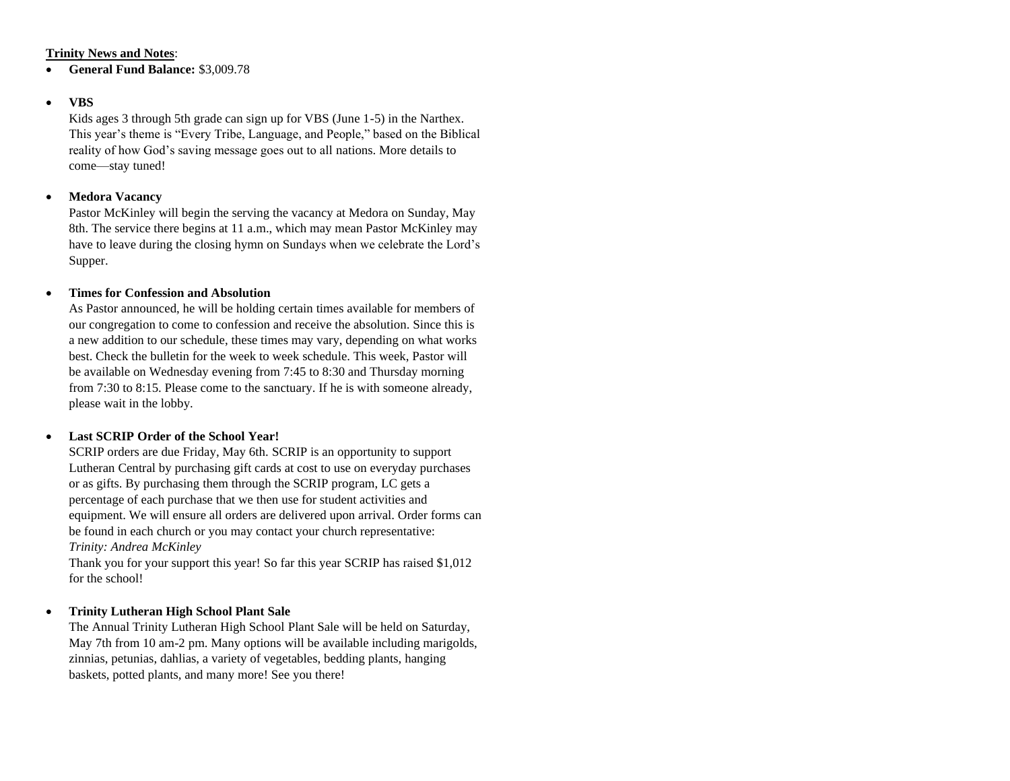## **Trinity News and Notes**:

• **General Fund Balance:** \$3,009.78

## • **VBS**

Kids ages 3 through 5th grade can sign up for VBS (June 1-5) in the Narthex. This year's theme is "Every Tribe, Language, and People," based on the Biblical reality of how God's saving message goes out to all nations. More details to come—stay tuned!

## • **Medora Vacancy**

Pastor McKinley will begin the serving the vacancy at Medora on Sunday, May 8th. The service there begins at 11 a.m., which may mean Pastor McKinley may have to leave during the closing hymn on Sundays when we celebrate the Lord's Supper.

## • **Times for Confession and Absolution**

As Pastor announced, he will be holding certain times available for members of our congregation to come to confession and receive the absolution. Since this is a new addition to our schedule, these times may vary, depending on what works best. Check the bulletin for the week to week schedule. This week, Pastor will be available on Wednesday evening from 7:45 to 8:30 and Thursday morning from 7:30 to 8:15. Please come to the sanctuary. If he is with someone already, please wait in the lobby.

# • **Last SCRIP Order of the School Year!**

SCRIP orders are due Friday, May 6th. SCRIP is an opportunity to support Lutheran Central by purchasing gift cards at cost to use on everyday purchases or as gifts. By purchasing them through the SCRIP program, LC gets a percentage of each purchase that we then use for student activities and equipment. We will ensure all orders are delivered upon arrival. Order forms can be found in each church or you may contact your church representative: *Trinity: Andrea McKinley*

Thank you for your support this year! So far this year SCRIP has raised \$1,012 for the school!

# • **Trinity Lutheran High School Plant Sale**

The Annual Trinity Lutheran High School Plant Sale will be held on Saturday, May 7th from 10 am-2 pm. Many options will be available including marigolds, zinnias, petunias, dahlias, a variety of vegetables, bedding plants, hanging baskets, potted plants, and many more! See you there!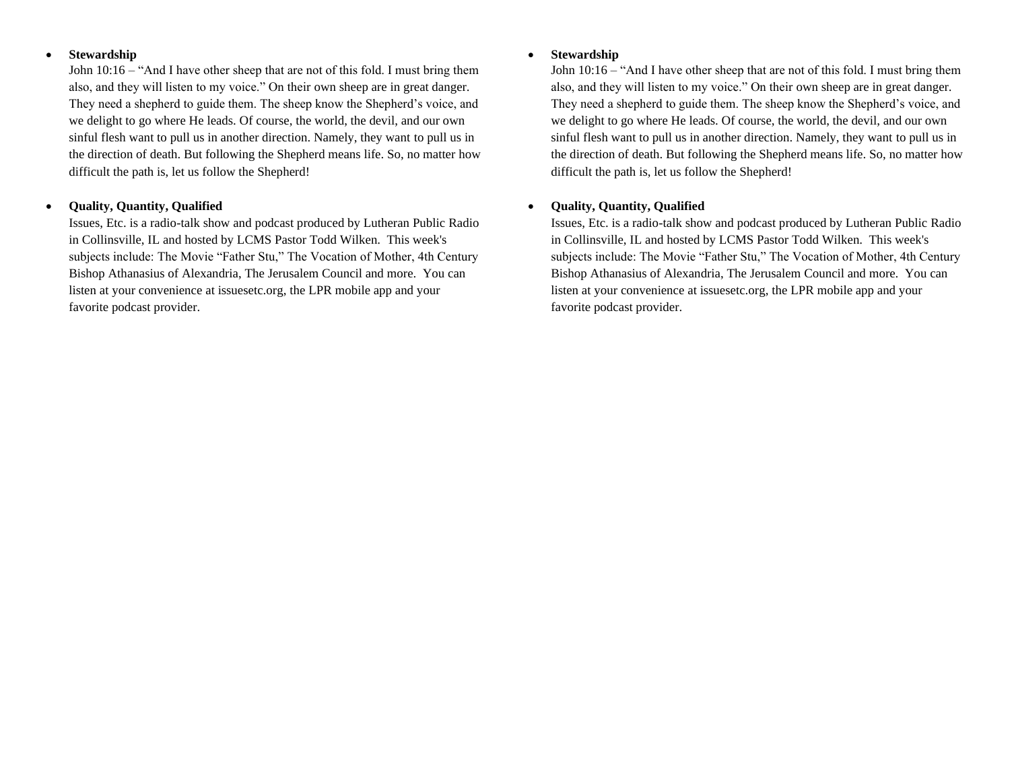#### • **Stewardship**

John 10:16 – "And I have other sheep that are not of this fold. I must bring them also, and they will listen to my voice." On their own sheep are in great danger. They need a shepherd to guide them. The sheep know the Shepherd's voice, and we delight to go where He leads. Of course, the world, the devil, and our own sinful flesh want to pull us in another direction. Namely, they want to pull us in the direction of death. But following the Shepherd means life. So, no matter how difficult the path is, let us follow the Shepherd!

## • **Quality, Quantity, Qualified**

Issues, Etc. is a radio-talk show and podcast produced by Lutheran Public Radio in Collinsville, IL and hosted by LCMS Pastor Todd Wilken. This week's subjects include: The Movie "Father Stu," The Vocation of Mother, 4th Century Bishop Athanasius of Alexandria, The Jerusalem Council and more. You can listen at your convenience at issuesetc.org, the LPR mobile app and your favorite podcast provider.

#### • **Stewardship**

John 10:16 – "And I have other sheep that are not of this fold. I must bring them also, and they will listen to my voice." On their own sheep are in great danger. They need a shepherd to guide them. The sheep know the Shepherd's voice, and we delight to go where He leads. Of course, the world, the devil, and our own sinful flesh want to pull us in another direction. Namely, they want to pull us in the direction of death. But following the Shepherd means life. So, no matter how difficult the path is, let us follow the Shepherd!

## • **Quality, Quantity, Qualified**

Issues, Etc. is a radio-talk show and podcast produced by Lutheran Public Radio in Collinsville, IL and hosted by LCMS Pastor Todd Wilken. This week's subjects include: The Movie "Father Stu," The Vocation of Mother, 4th Century Bishop Athanasius of Alexandria, The Jerusalem Council and more. You can listen at your convenience at issuesetc.org, the LPR mobile app and your favorite podcast provider.